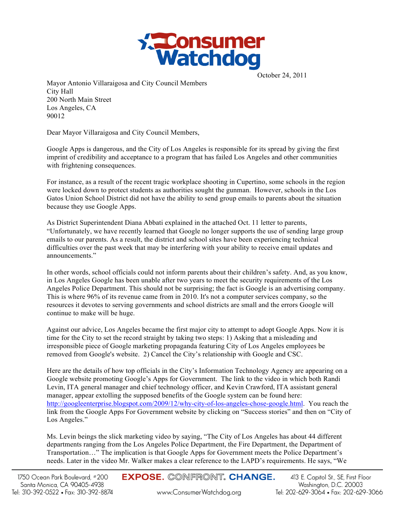

October 24, 2011

Mayor Antonio Villaraigosa and City Council Members City Hall 200 North Main Street Los Angeles, CA 90012

Dear Mayor Villaraigosa and City Council Members,

Google Apps is dangerous, and the City of Los Angeles is responsible for its spread by giving the first imprint of credibility and acceptance to a program that has failed Los Angeles and other communities with frightening consequences.

For instance, as a result of the recent tragic workplace shooting in Cupertino, some schools in the region were locked down to protect students as authorities sought the gunman. However, schools in the Los Gatos Union School District did not have the ability to send group emails to parents about the situation because they use Google Apps.

As District Superintendent Diana Abbati explained in the attached Oct. 11 letter to parents, "Unfortunately, we have recently learned that Google no longer supports the use of sending large group emails to our parents. As a result, the district and school sites have been experiencing technical difficulties over the past week that may be interfering with your ability to receive email updates and announcements."

In other words, school officials could not inform parents about their children's safety. And, as you know, in Los Angeles Google has been unable after two years to meet the security requirements of the Los Angeles Police Department. This should not be surprising; the fact is Google is an advertising company. This is where 96% of its revenue came from in 2010. It's not a computer services company, so the resources it devotes to serving governments and school districts are small and the errors Google will continue to make will be huge.

Against our advice, Los Angeles became the first major city to attempt to adopt Google Apps. Now it is time for the City to set the record straight by taking two steps: 1) Asking that a misleading and irresponsible piece of Google marketing propaganda featuring City of Los Angeles employees be removed from Google's website. 2) Cancel the City's relationship with Google and CSC.

Here are the details of how top officials in the City's Information Technology Agency are appearing on a Google website promoting Google's Apps for Government. The link to the video in which both Randi Levin, ITA general manager and chief technology officer, and Kevin Crawford, ITA assistant general manager, appear extolling the supposed benefits of the Google system can be found here: http://googleenterprise.blogspot.com/2009/12/why-city-of-los-angeles-chose-google.html. You reach the link from the Google Apps For Government website by clicking on "Success stories" and then on "City of Los Angeles."

Ms. Levin beings the slick marketing video by saying, "The City of Los Angeles has about 44 different departments ranging from the Los Angeles Police Department, the Fire Department, the Department of Transportation…" The implication is that Google Apps for Government meets the Police Department's needs. Later in the video Mr. Walker makes a clear reference to the LAPD's requirements. He says, "We

**EXPOSE. CONFRONT. CHANGE.** 

www.ConsumerWatchdog.org